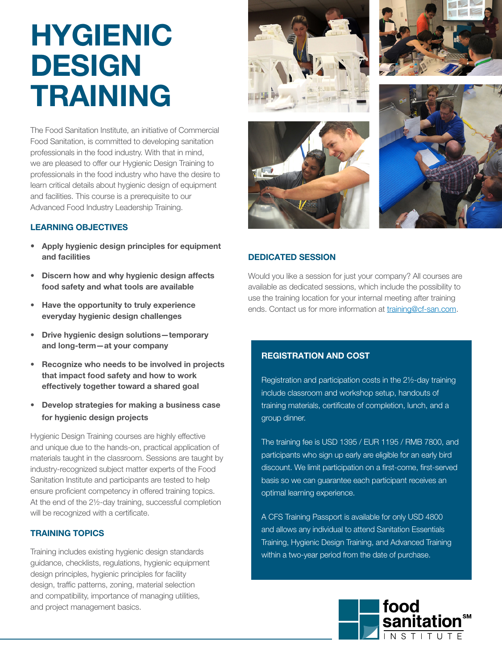# HYGIENIC DESIGN TRAINING

The Food Sanitation Institute, an initiative of Commercial Food Sanitation, is committed to developing sanitation professionals in the food industry. With that in mind, we are pleased to offer our Hygienic Design Training to professionals in the food industry who have the desire to learn critical details about hygienic design of equipment and facilities. This course is a prerequisite to our Advanced Food Industry Leadership Training.

# LEARNING OBJECTIVES

- Apply hygienic design principles for equipment and facilities
- Discern how and why hygienic design affects food safety and what tools are available
- Have the opportunity to truly experience everyday hygienic design challenges
- Drive hygienic design solutions—temporary and long-term—at your company
- Recognize who needs to be involved in projects that impact food safety and how to work effectively together toward a shared goal
- Develop strategies for making a business case for hygienic design projects

Hygienic Design Training courses are highly effective and unique due to the hands-on, practical application of materials taught in the classroom. Sessions are taught by industry-recognized subject matter experts of the Food Sanitation Institute and participants are tested to help ensure proficient competency in offered training topics. At the end of the 2½-day training, successful completion will be recognized with a certificate.

# TRAINING TOPICS

Training includes existing hygienic design standards guidance, checklists, regulations, hygienic equipment design principles, hygienic principles for facility design, traffic patterns, zoning, material selection and compatibility, importance of managing utilities, and project management basics.









# DEDICATED SESSION

Would you like a session for just your company? All courses are available as dedicated sessions, which include the possibility to use the training location for your internal meeting after training ends. Contact us for more information at [training@cf-san.com.](mailto:training%40cf-san.com?subject=CFS%20HDT%20Flyer)

# REGISTRATION AND COST

Registration and participation costs in the 2½-day training include classroom and workshop setup, handouts of training materials, certificate of completion, lunch, and a group dinner.

The training fee is USD 1395 / EUR 1195 / RMB 7800, and participants who sign up early are eligible for an early bird discount. We limit participation on a first-come, first-served basis so we can guarantee each participant receives an optimal learning experience.

A CFS Training Passport is available for only USD 4800 and allows any individual to attend Sanitation Essentials Training, Hygienic Design Training, and Advanced Training within a two-year period from the date of purchase.